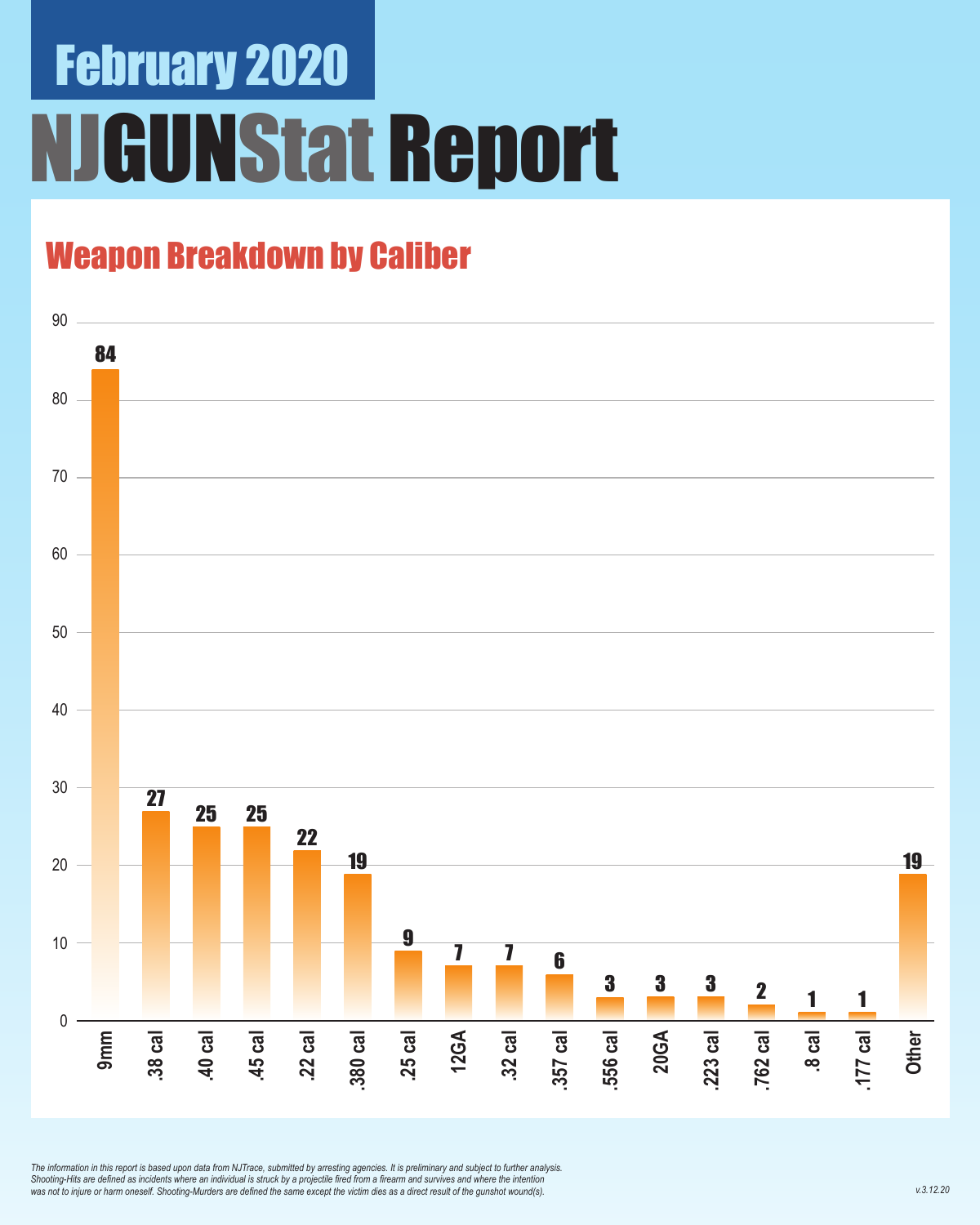# February 2020 **GUNStat Report**

### Weapon Breakdown by Caliber



*The information in this report is based upon data from NJTrace, submitted by arresting agencies. It is preliminary and subject to further analysis. Shooting-Hits are defined as incidents where an individual is struck by a projectile fired from a firearm and survives and where the intention was not to injure or harm oneself. Shooting-Murders are defined the same except the victim dies as a direct result of the gunshot wound(s).*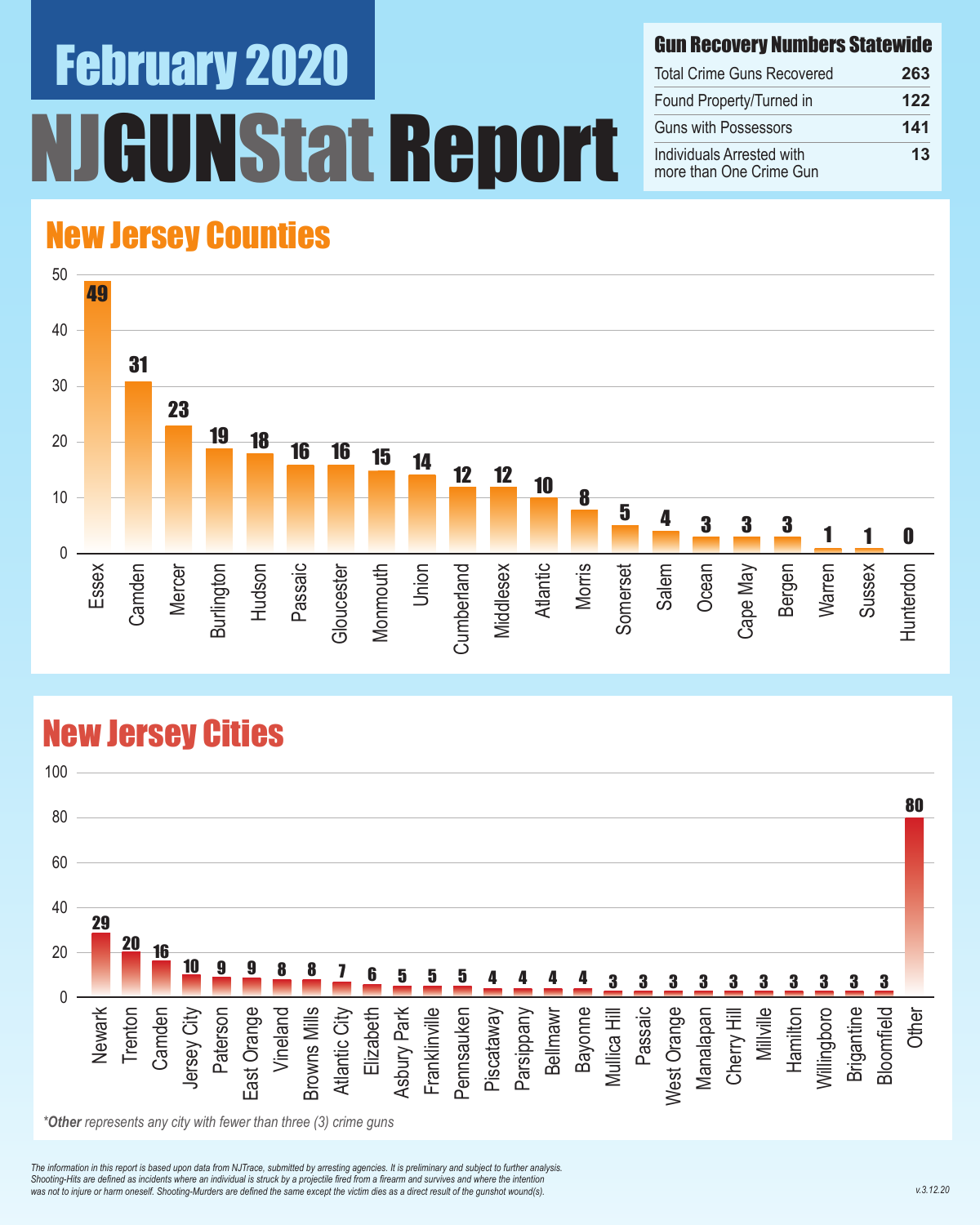# February 2020 NStat Report

#### Gun Recovery Numbers Statewide

| <b>Total Crime Guns Recovered</b>                    | 263 |  |
|------------------------------------------------------|-----|--|
| Found Property/Turned in                             | 122 |  |
| <b>Guns with Possessors</b>                          | 141 |  |
| Individuals Arrested with<br>more than One Crime Gun | 13  |  |

#### New Jersey Counties



#### New Jersey Cities



*\*Other represents any city with fewer than three (3) crime guns*

*The information in this report is based upon data from NJTrace, submitted by arresting agencies. It is preliminary and subject to further analysis. Shooting-Hits are defined as incidents where an individual is struck by a projectile fired from a firearm and survives and where the intention*  was not to injure or harm oneself. Shooting-Murders are defined the same except the victim dies as a direct result of the gunshot wound(s).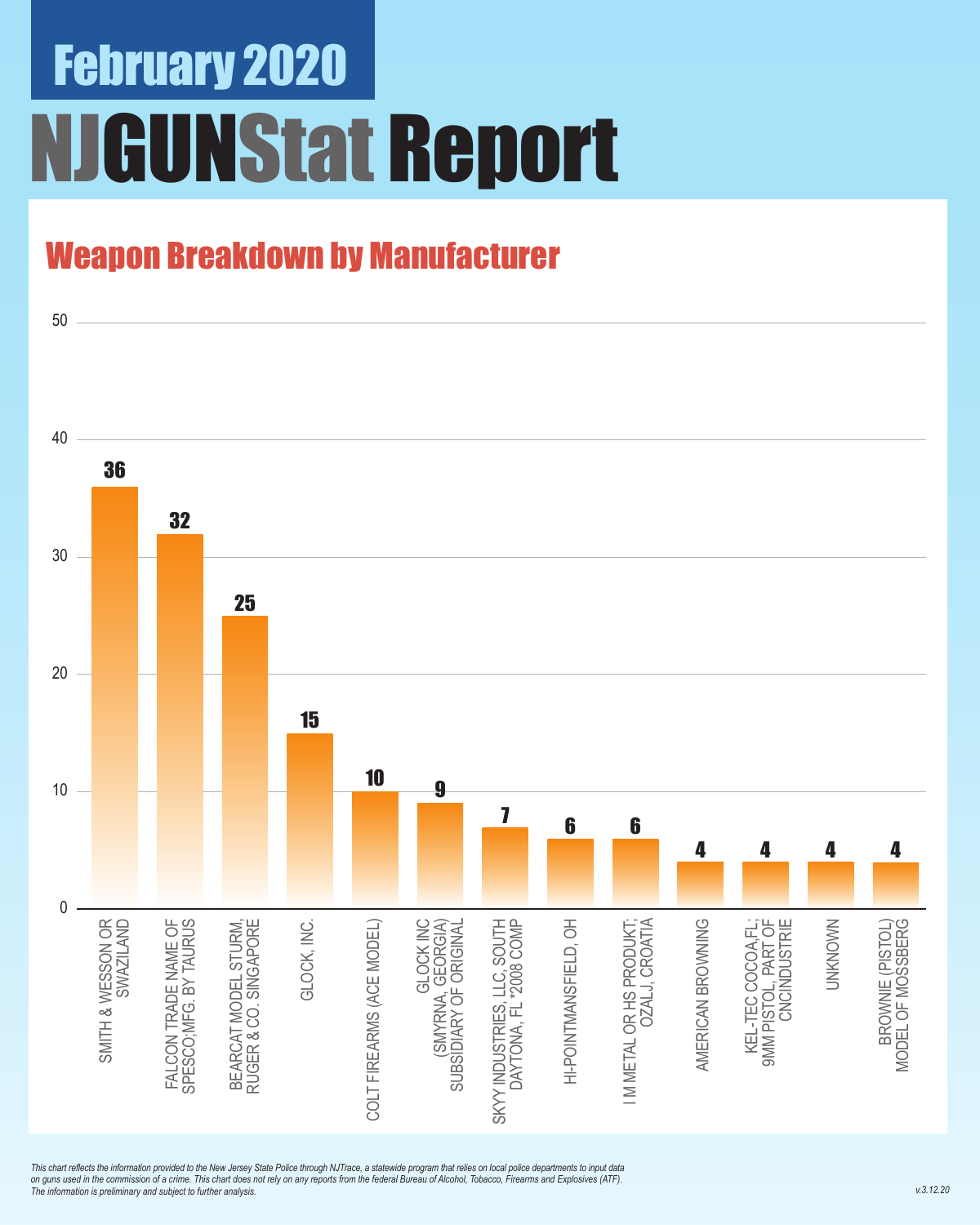# February 2020 **IGUNStat Report**

### Weapon Breakdown by Manufacturer



*This chart reflects the information provided to the New Jersey State Police through NJTrace, a statewide program that relies on local police departments to input data on guns used in the commission of a crime. This chart does not rely on any reports from the federal Bureau of Alcohol, Tobacco, Firearms and Explosives (ATF). The information is preliminary and subject to further analysis.*